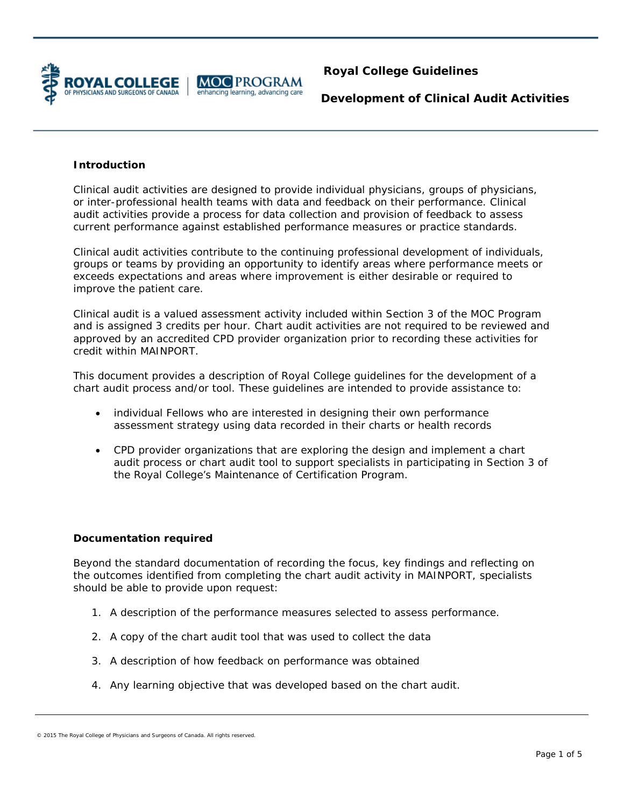

### **Introduction**

Clinical audit activities are designed to provide individual physicians, groups of physicians, or inter-professional health teams with data and feedback on their performance. Clinical audit activities provide a process for data collection and provision of feedback to assess current performance against established performance measures or practice standards.

Clinical audit activities contribute to the continuing professional development of individuals, groups or teams by providing an opportunity to identify areas where performance meets or exceeds expectations and areas where improvement is either desirable or required to improve the patient care.

Clinical audit is a valued assessment activity included within Section 3 of the MOC Program and is assigned 3 credits per hour. Chart audit activities are not required to be reviewed and approved by an accredited CPD provider organization prior to recording these activities for credit within MAINPORT.

This document provides a description of Royal College guidelines for the development of a chart audit process and/or tool. These guidelines are intended to provide assistance to:

- individual Fellows who are interested in designing their own performance assessment strategy using data recorded in their charts or health records
- CPD provider organizations that are exploring the design and implement a chart audit process or chart audit tool to support specialists in participating in Section 3 of the Royal College's Maintenance of Certification Program.

#### **Documentation required**

Beyond the standard documentation of recording the focus, key findings and reflecting on the outcomes identified from completing the chart audit activity in MAINPORT, specialists should be able to provide upon request:

- 1. A description of the performance measures selected to assess performance.
- 2. A copy of the chart audit tool that was used to collect the data
- 3. A description of how feedback on performance was obtained
- 4. Any learning objective that was developed based on the chart audit.

<sup>© 2015</sup> The Royal College of Physicians and Surgeons of Canada. All rights reserved.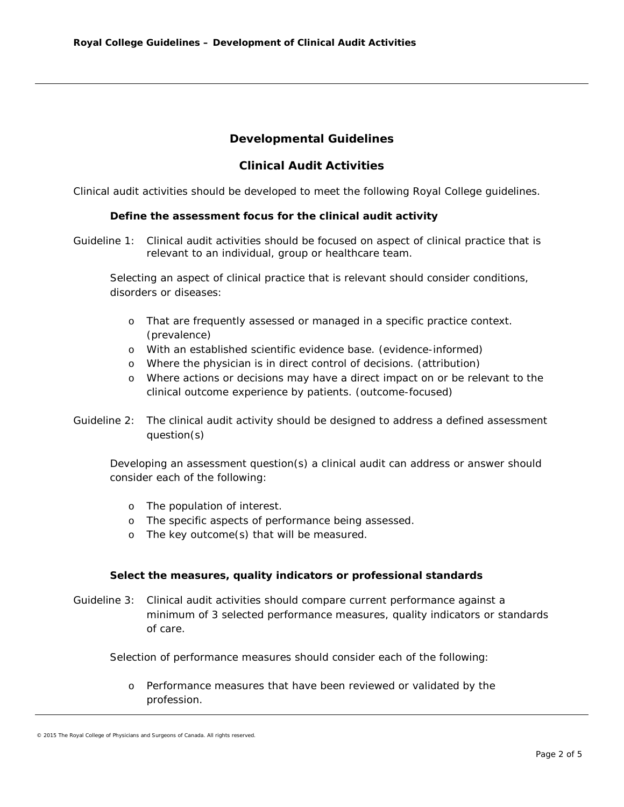# **Developmental Guidelines**

## **Clinical Audit Activities**

Clinical audit activities should be developed to meet the following Royal College guidelines.

### **Define the assessment focus for the clinical audit activity**

*Guideline 1:* Clinical audit activities should be focused on aspect of clinical practice that is relevant to an individual, group or healthcare team.

Selecting an aspect of clinical practice that is relevant should consider conditions, disorders or diseases:

- o That are frequently assessed or managed in a specific practice context. (prevalence)
- o With an established scientific evidence base. (evidence-informed)
- o Where the physician is in direct control of decisions. (attribution)
- o Where actions or decisions may have a direct impact on or be relevant to the clinical outcome experience by patients. (outcome-focused)
- *Guideline 2: The clinical audit activity should be designed to address a defined assessment question(s)*

Developing an assessment question(s) a clinical audit can address or answer should consider each of the following:

- o The population of interest.
- o The specific aspects of performance being assessed.
- o The key outcome(s) that will be measured.

#### **Select the measures, quality indicators or professional standards**

*Guideline 3: Clinical audit activities should compare current performance against a minimum of 3 selected performance measures, quality indicators or standards of care*.

Selection of performance measures should consider each of the following:

o Performance measures that have been reviewed or validated by the profession.

<sup>© 2015</sup> The Royal College of Physicians and Surgeons of Canada. All rights reserved.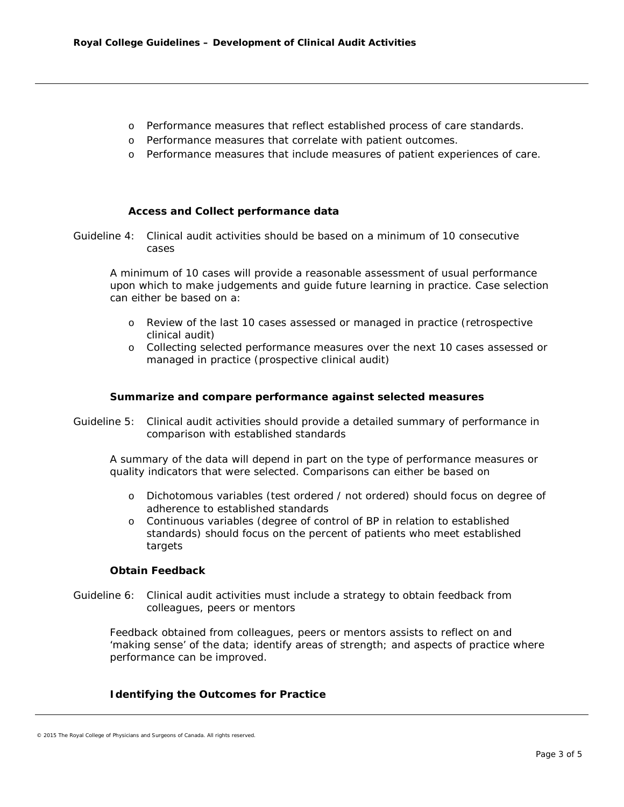- o Performance measures that reflect established process of care standards.
- o Performance measures that correlate with patient outcomes.
- o Performance measures that include measures of patient experiences of care.

### **Access and Collect performance data**

*Guideline 4: Clinical audit activities should be based on a minimum of 10 consecutive cases* 

A minimum of 10 cases will provide a reasonable assessment of usual performance upon which to make judgements and guide future learning in practice. Case selection can either be based on a:

- o Review of the last 10 cases assessed or managed in practice (retrospective clinical audit)
- o Collecting selected performance measures over the next 10 cases assessed or managed in practice (prospective clinical audit)

#### **Summarize and compare performance against selected measures**

*Guideline 5: Clinical audit activities should provide a detailed summary of performance in comparison with established standards*

A summary of the data will depend in part on the type of performance measures or quality indicators that were selected. Comparisons can either be based on

- o Dichotomous variables (test ordered / not ordered) should focus on degree of adherence to established standards
- o Continuous variables (degree of control of BP in relation to established standards) should focus on the percent of patients who meet established targets

#### **Obtain Feedback**

*Guideline 6: Clinical audit activities must include a strategy to obtain feedback from colleagues, peers or mentors*

Feedback obtained from colleagues, peers or mentors assists to reflect on and 'making sense' of the data; identify areas of strength; and aspects of practice where performance can be improved.

#### **Identifying the Outcomes for Practice**

<sup>© 2015</sup> The Royal College of Physicians and Surgeons of Canada. All rights reserved.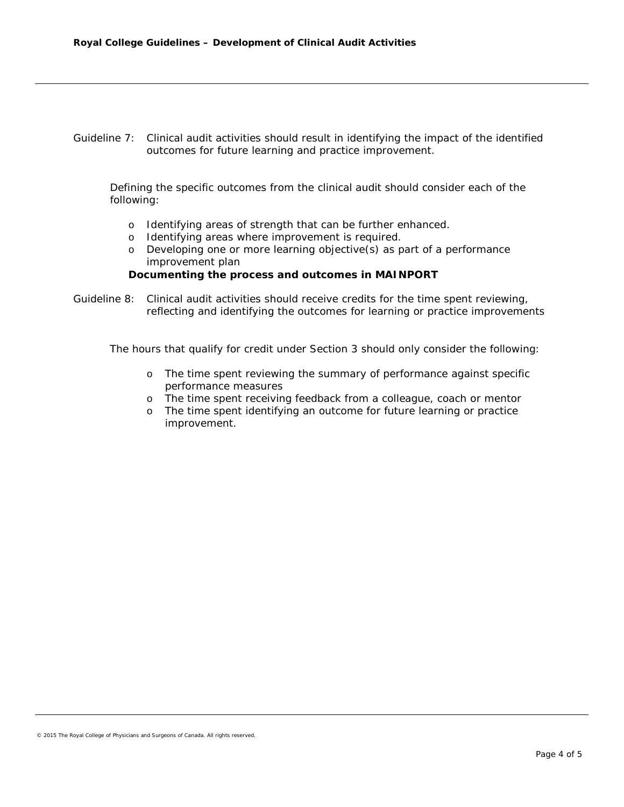*Guideline 7: Clinical audit activities should result in identifying the impact of the identified outcomes for future learning and practice improvement.* 

Defining the specific outcomes from the clinical audit should consider each of the following:

- o Identifying areas of strength that can be further enhanced.
- o Identifying areas where improvement is required.
- o Developing one or more learning objective(s) as part of a performance improvement plan

**Documenting the process and outcomes in MAINPORT**

*Guideline 8: Clinical audit activities should receive credits for the time spent reviewing, reflecting and identifying the outcomes for learning or practice improvements* 

The hours that qualify for credit under Section 3 should only consider the following:

- o The time spent reviewing the summary of performance against specific performance measures
- o The time spent receiving feedback from a colleague, coach or mentor
- o The time spent identifying an outcome for future learning or practice improvement.

© 2015 The Royal College of Physicians and Surgeons of Canada. All rights reserved.